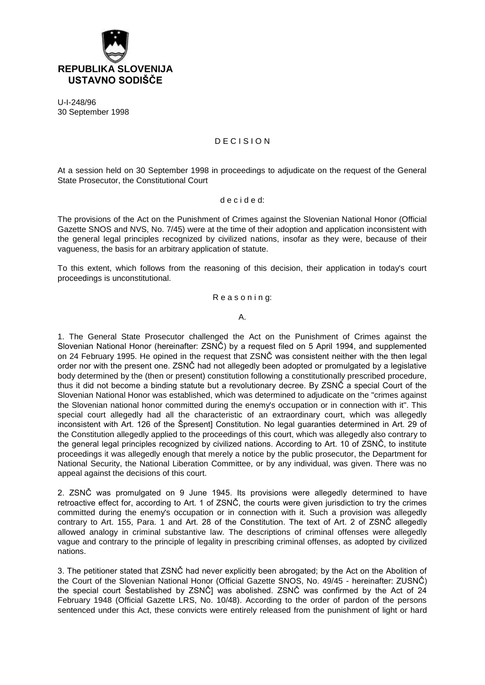

U-I-248/96 30 September 1998

# D E C I S I O N

At a session held on 30 September 1998 in proceedings to adjudicate on the request of the General State Prosecutor, the Constitutional Court

### d e c i d e d:

The provisions of the Act on the Punishment of Crimes against the Slovenian National Honor (Official Gazette SNOS and NVS, No. 7/45) were at the time of their adoption and application inconsistent with the general legal principles recognized by civilized nations, insofar as they were, because of their vagueness, the basis for an arbitrary application of statute.

To this extent, which follows from the reasoning of this decision, their application in today's court proceedings is unconstitutional.

## Reasoning:

A.

1. The General State Prosecutor challenged the Act on the Punishment of Crimes against the Slovenian National Honor (hereinafter: ZSNČ) by a request filed on 5 April 1994, and supplemented on 24 February 1995. He opined in the request that ZSNČ was consistent neither with the then legal order nor with the present one. ZSNČ had not allegedly been adopted or promulgated by a legislative body determined by the (then or present) constitution following a constitutionally prescribed procedure, thus it did not become a binding statute but a revolutionary decree. By ZSNČ a special Court of the Slovenian National Honor was established, which was determined to adjudicate on the "crimes against the Slovenian national honor committed during the enemy's occupation or in connection with it". This special court allegedly had all the characteristic of an extraordinary court, which was allegedly inconsistent with Art. 126 of the Špresent] Constitution. No legal guaranties determined in Art. 29 of the Constitution allegedly applied to the proceedings of this court, which was allegedly also contrary to the general legal principles recognized by civilized nations. According to Art. 10 of ZSNČ, to institute proceedings it was allegedly enough that merely a notice by the public prosecutor, the Department for National Security, the National Liberation Committee, or by any individual, was given. There was no appeal against the decisions of this court.

2. ZSNČ was promulgated on 9 June 1945. Its provisions were allegedly determined to have retroactive effect for, according to Art. 1 of ZSNČ, the courts were given jurisdiction to try the crimes committed during the enemy's occupation or in connection with it. Such a provision was allegedly contrary to Art. 155, Para. 1 and Art. 28 of the Constitution. The text of Art. 2 of ZSNČ allegedly allowed analogy in criminal substantive law. The descriptions of criminal offenses were allegedly vague and contrary to the principle of legality in prescribing criminal offenses, as adopted by civilized nations.

3. The petitioner stated that ZSNČ had never explicitly been abrogated; by the Act on the Abolition of the Court of the Slovenian National Honor (Official Gazette SNOS, No. 49/45 - hereinafter: ZUSNČ) the special court Šestablished by ZSNČ] was abolished. ZSNČ was confirmed by the Act of 24 February 1948 (Official Gazette LRS, No. 10/48). According to the order of pardon of the persons sentenced under this Act, these convicts were entirely released from the punishment of light or hard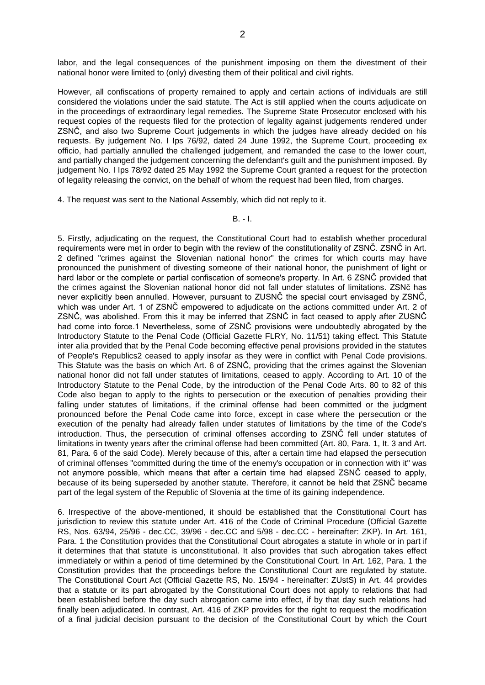labor, and the legal consequences of the punishment imposing on them the divestment of their national honor were limited to (only) divesting them of their political and civil rights.

However, all confiscations of property remained to apply and certain actions of individuals are still considered the violations under the said statute. The Act is still applied when the courts adjudicate on in the proceedings of extraordinary legal remedies. The Supreme State Prosecutor enclosed with his request copies of the requests filed for the protection of legality against judgements rendered under ZSNČ, and also two Supreme Court judgements in which the judges have already decided on his requests. By judgement No. I Ips 76/92, dated 24 June 1992, the Supreme Court, proceeding ex officio, had partially annulled the challenged judgement, and remanded the case to the lower court, and partially changed the judgement concerning the defendant's guilt and the punishment imposed. By judgement No. I Ips 78/92 dated 25 May 1992 the Supreme Court granted a request for the protection of legality releasing the convict, on the behalf of whom the request had been filed, from charges.

4. The request was sent to the National Assembly, which did not reply to it.

#### B. - I.

5. Firstly, adjudicating on the request, the Constitutional Court had to establish whether procedural requirements were met in order to begin with the review of the constitutionality of ZSNČ. ZSNČ in Art. 2 defined "crimes against the Slovenian national honor" the crimes for which courts may have pronounced the punishment of divesting someone of their national honor, the punishment of light or hard labor or the complete or partial confiscation of someone's property. In Art. 6 ZSNČ provided that the crimes against the Slovenian national honor did not fall under statutes of limitations. ZSNč has never explicitly been annulled. However, pursuant to ZUSNČ the special court envisaged by ZSNČ, which was under Art. 1 of ZSNČ empowered to adjudicate on the actions committed under Art. 2 of ZSNČ, was abolished. From this it may be inferred that ZSNČ in fact ceased to apply after ZUSNČ had come into force.1 Nevertheless, some of ZSNČ provisions were undoubtedly abrogated by the Introductory Statute to the Penal Code (Official Gazette FLRY, No. 11/51) taking effect. This Statute inter alia provided that by the Penal Code becoming effective penal provisions provided in the statutes of People's Republics2 ceased to apply insofar as they were in conflict with Penal Code provisions. This Statute was the basis on which Art. 6 of ZSNČ, providing that the crimes against the Slovenian national honor did not fall under statutes of limitations, ceased to apply. According to Art. 10 of the Introductory Statute to the Penal Code, by the introduction of the Penal Code Arts. 80 to 82 of this Code also began to apply to the rights to persecution or the execution of penalties providing their falling under statutes of limitations, if the criminal offense had been committed or the judgment pronounced before the Penal Code came into force, except in case where the persecution or the execution of the penalty had already fallen under statutes of limitations by the time of the Code's introduction. Thus, the persecution of criminal offenses according to ZSNČ fell under statutes of limitations in twenty years after the criminal offense had been committed (Art. 80, Para. 1, It. 3 and Art. 81, Para. 6 of the said Code). Merely because of this, after a certain time had elapsed the persecution of criminal offenses "committed during the time of the enemy's occupation or in connection with it" was not anymore possible, which means that after a certain time had elapsed ZSNČ ceased to apply, because of its being superseded by another statute. Therefore, it cannot be held that ZSNČ became part of the legal system of the Republic of Slovenia at the time of its gaining independence.

6. Irrespective of the above-mentioned, it should be established that the Constitutional Court has jurisdiction to review this statute under Art. 416 of the Code of Criminal Procedure (Official Gazette RS, Nos. 63/94, 25/96 - dec.CC, 39/96 - dec.CC and 5/98 - dec.CC - hereinafter: ZKP). In Art. 161, Para. 1 the Constitution provides that the Constitutional Court abrogates a statute in whole or in part if it determines that that statute is unconstitutional. It also provides that such abrogation takes effect immediately or within a period of time determined by the Constitutional Court. In Art. 162, Para. 1 the Constitution provides that the proceedings before the Constitutional Court are regulated by statute. The Constitutional Court Act (Official Gazette RS, No. 15/94 - hereinafter: ZUstS) in Art. 44 provides that a statute or its part abrogated by the Constitutional Court does not apply to relations that had been established before the day such abrogation came into effect, if by that day such relations had finally been adjudicated. In contrast, Art. 416 of ZKP provides for the right to request the modification of a final judicial decision pursuant to the decision of the Constitutional Court by which the Court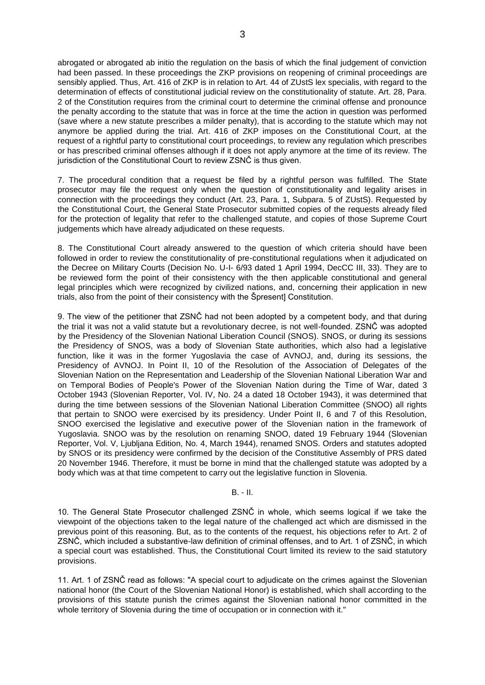abrogated or abrogated ab initio the regulation on the basis of which the final judgement of conviction had been passed. In these proceedings the ZKP provisions on reopening of criminal proceedings are sensibly applied. Thus, Art. 416 of ZKP is in relation to Art. 44 of ZUstS lex specialis, with regard to the determination of effects of constitutional judicial review on the constitutionality of statute. Art. 28, Para. 2 of the Constitution requires from the criminal court to determine the criminal offense and pronounce the penalty according to the statute that was in force at the time the action in question was performed (save where a new statute prescribes a milder penalty), that is according to the statute which may not anymore be applied during the trial. Art. 416 of ZKP imposes on the Constitutional Court, at the request of a rightful party to constitutional court proceedings, to review any regulation which prescribes or has prescribed criminal offenses although if it does not apply anymore at the time of its review. The jurisdiction of the Constitutional Court to review ZSNČ is thus given.

7. The procedural condition that a request be filed by a rightful person was fulfilled. The State prosecutor may file the request only when the question of constitutionality and legality arises in connection with the proceedings they conduct (Art. 23, Para. 1, Subpara. 5 of ZUstS). Requested by the Constitutional Court, the General State Prosecutor submitted copies of the requests already filed for the protection of legality that refer to the challenged statute, and copies of those Supreme Court judgements which have already adjudicated on these requests.

8. The Constitutional Court already answered to the question of which criteria should have been followed in order to review the constitutionality of pre-constitutional regulations when it adjudicated on the Decree on Military Courts (Decision No. U-I- 6/93 dated 1 April 1994, DecCC III, 33). They are to be reviewed form the point of their consistency with the then applicable constitutional and general legal principles which were recognized by civilized nations, and, concerning their application in new trials, also from the point of their consistency with the Špresent] Constitution.

9. The view of the petitioner that ZSNČ had not been adopted by a competent body, and that during the trial it was not a valid statute but a revolutionary decree, is not well-founded. ZSNČ was adopted by the Presidency of the Slovenian National Liberation Council (SNOS). SNOS, or during its sessions the Presidency of SNOS, was a body of Slovenian State authorities, which also had a legislative function, like it was in the former Yugoslavia the case of AVNOJ, and, during its sessions, the Presidency of AVNOJ. In Point II, 10 of the Resolution of the Association of Delegates of the Slovenian Nation on the Representation and Leadership of the Slovenian National Liberation War and on Temporal Bodies of People's Power of the Slovenian Nation during the Time of War, dated 3 October 1943 (Slovenian Reporter, Vol. IV, No. 24 a dated 18 October 1943), it was determined that during the time between sessions of the Slovenian National Liberation Committee (SNOO) all rights that pertain to SNOO were exercised by its presidency. Under Point II, 6 and 7 of this Resolution, SNOO exercised the legislative and executive power of the Slovenian nation in the framework of Yugoslavia. SNOO was by the resolution on renaming SNOO, dated 19 February 1944 (Slovenian Reporter, Vol. V, Ljubljana Edition, No. 4, March 1944), renamed SNOS. Orders and statutes adopted by SNOS or its presidency were confirmed by the decision of the Constitutive Assembly of PRS dated 20 November 1946. Therefore, it must be borne in mind that the challenged statute was adopted by a body which was at that time competent to carry out the legislative function in Slovenia.

### B. - II.

10. The General State Prosecutor challenged ZSNČ in whole, which seems logical if we take the viewpoint of the objections taken to the legal nature of the challenged act which are dismissed in the previous point of this reasoning. But, as to the contents of the request, his objections refer to Art. 2 of ZSNČ, which included a substantive-law definition of criminal offenses, and to Art. 1 of ZSNČ, in which a special court was established. Thus, the Constitutional Court limited its review to the said statutory provisions.

11. Art. 1 of ZSNČ read as follows: "A special court to adjudicate on the crimes against the Slovenian national honor (the Court of the Slovenian National Honor) is established, which shall according to the provisions of this statute punish the crimes against the Slovenian national honor committed in the whole territory of Slovenia during the time of occupation or in connection with it."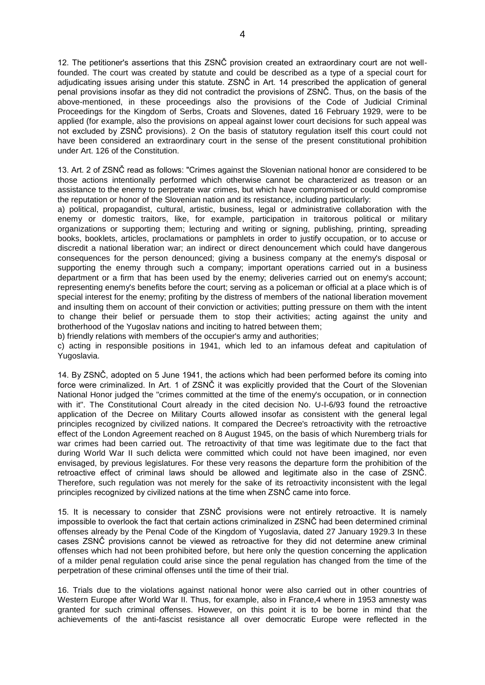12. The petitioner's assertions that this ZSNČ provision created an extraordinary court are not wellfounded. The court was created by statute and could be described as a type of a special court for adjudicating issues arising under this statute. ZSNČ in Art. 14 prescribed the application of general penal provisions insofar as they did not contradict the provisions of ZSNČ. Thus, on the basis of the above-mentioned, in these proceedings also the provisions of the Code of Judicial Criminal Proceedings for the Kingdom of Serbs, Croats and Slovenes, dated 16 February 1929, were to be applied (for example, also the provisions on appeal against lower court decisions for such appeal was not excluded by ZSNČ provisions). 2 On the basis of statutory regulation itself this court could not have been considered an extraordinary court in the sense of the present constitutional prohibition under Art. 126 of the Constitution.

13. Art. 2 of ZSNČ read as follows: "Crimes against the Slovenian national honor are considered to be those actions intentionally performed which otherwise cannot be characterized as treason or an assistance to the enemy to perpetrate war crimes, but which have compromised or could compromise the reputation or honor of the Slovenian nation and its resistance, including particularly:

a) political, propagandist, cultural, artistic, business, legal or administrative collaboration with the enemy or domestic traitors, like, for example, participation in traitorous political or military organizations or supporting them; lecturing and writing or signing, publishing, printing, spreading books, booklets, articles, proclamations or pamphlets in order to justify occupation, or to accuse or discredit a national liberation war; an indirect or direct denouncement which could have dangerous consequences for the person denounced; giving a business company at the enemy's disposal or supporting the enemy through such a company; important operations carried out in a business department or a firm that has been used by the enemy; deliveries carried out on enemy's account; representing enemy's benefits before the court; serving as a policeman or official at a place which is of special interest for the enemy; profiting by the distress of members of the national liberation movement and insulting them on account of their conviction or activities; putting pressure on them with the intent to change their belief or persuade them to stop their activities; acting against the unity and brotherhood of the Yugoslav nations and inciting to hatred between them;

b) friendly relations with members of the occupier's army and authorities;

c) acting in responsible positions in 1941, which led to an infamous defeat and capitulation of Yugoslavia.

14. By ZSNČ, adopted on 5 June 1941, the actions which had been performed before its coming into force were criminalized. In Art. 1 of ZSNČ it was explicitly provided that the Court of the Slovenian National Honor judged the "crimes committed at the time of the enemy's occupation, or in connection with it". The Constitutional Court already in the cited decision No. U-I-6/93 found the retroactive application of the Decree on Military Courts allowed insofar as consistent with the general legal principles recognized by civilized nations. It compared the Decree's retroactivity with the retroactive effect of the London Agreement reached on 8 August 1945, on the basis of which Nuremberg trials for war crimes had been carried out. The retroactivity of that time was legitimate due to the fact that during World War II such delicta were committed which could not have been imagined, nor even envisaged, by previous legislatures. For these very reasons the departure form the prohibition of the retroactive effect of criminal laws should be allowed and legitimate also in the case of ZSNČ. Therefore, such regulation was not merely for the sake of its retroactivity inconsistent with the legal principles recognized by civilized nations at the time when ZSNČ came into force.

15. It is necessary to consider that ZSNČ provisions were not entirely retroactive. It is namely impossible to overlook the fact that certain actions criminalized in ZSNČ had been determined criminal offenses already by the Penal Code of the Kingdom of Yugoslavia, dated 27 January 1929.3 In these cases ZSNČ provisions cannot be viewed as retroactive for they did not determine anew criminal offenses which had not been prohibited before, but here only the question concerning the application of a milder penal regulation could arise since the penal regulation has changed from the time of the perpetration of these criminal offenses until the time of their trial.

16. Trials due to the violations against national honor were also carried out in other countries of Western Europe after World War II. Thus, for example, also in France,4 where in 1953 amnesty was granted for such criminal offenses. However, on this point it is to be borne in mind that the achievements of the anti-fascist resistance all over democratic Europe were reflected in the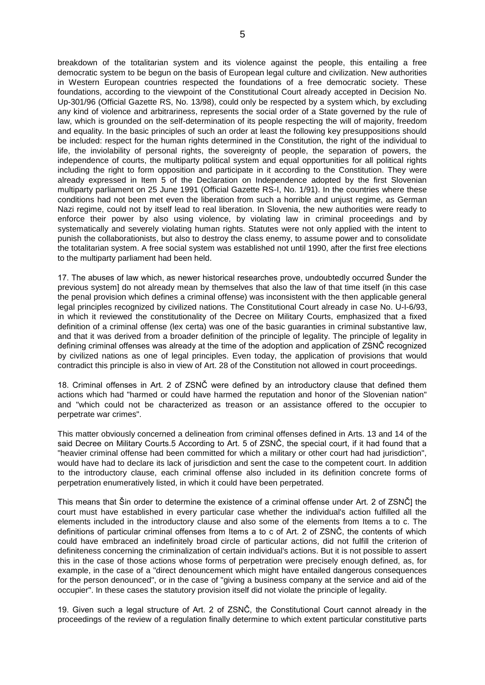breakdown of the totalitarian system and its violence against the people, this entailing a free democratic system to be begun on the basis of European legal culture and civilization. New authorities in Western European countries respected the foundations of a free democratic society. These foundations, according to the viewpoint of the Constitutional Court already accepted in Decision No. Up-301/96 (Official Gazette RS, No. 13/98), could only be respected by a system which, by excluding any kind of violence and arbitrariness, represents the social order of a State governed by the rule of law, which is grounded on the self-determination of its people respecting the will of majority, freedom and equality. In the basic principles of such an order at least the following key presuppositions should be included: respect for the human rights determined in the Constitution, the right of the individual to life, the inviolability of personal rights, the sovereignty of people, the separation of powers, the independence of courts, the multiparty political system and equal opportunities for all political rights including the right to form opposition and participate in it according to the Constitution. They were already expressed in Item 5 of the Declaration on Independence adopted by the first Slovenian multiparty parliament on 25 June 1991 (Official Gazette RS-I, No. 1/91). In the countries where these conditions had not been met even the liberation from such a horrible and unjust regime, as German Nazi regime, could not by itself lead to real liberation. In Slovenia, the new authorities were ready to enforce their power by also using violence, by violating law in criminal proceedings and by systematically and severely violating human rights. Statutes were not only applied with the intent to punish the collaborationists, but also to destroy the class enemy, to assume power and to consolidate the totalitarian system. A free social system was established not until 1990, after the first free elections to the multiparty parliament had been held.

17. The abuses of law which, as newer historical researches prove, undoubtedly occurred Šunder the previous system] do not already mean by themselves that also the law of that time itself (in this case the penal provision which defines a criminal offense) was inconsistent with the then applicable general legal principles recognized by civilized nations. The Constitutional Court already in case No. U-I-6/93, in which it reviewed the constitutionality of the Decree on Military Courts, emphasized that a fixed definition of a criminal offense (lex certa) was one of the basic guaranties in criminal substantive law, and that it was derived from a broader definition of the principle of legality. The principle of legality in defining criminal offenses was already at the time of the adoption and application of ZSNČ recognized by civilized nations as one of legal principles. Even today, the application of provisions that would contradict this principle is also in view of Art. 28 of the Constitution not allowed in court proceedings.

18. Criminal offenses in Art. 2 of ZSNČ were defined by an introductory clause that defined them actions which had "harmed or could have harmed the reputation and honor of the Slovenian nation" and "which could not be characterized as treason or an assistance offered to the occupier to perpetrate war crimes".

This matter obviously concerned a delineation from criminal offenses defined in Arts. 13 and 14 of the said Decree on Military Courts.5 According to Art. 5 of ZSNČ, the special court, if it had found that a "heavier criminal offense had been committed for which a military or other court had had jurisdiction", would have had to declare its lack of jurisdiction and sent the case to the competent court. In addition to the introductory clause, each criminal offense also included in its definition concrete forms of perpetration enumeratively listed, in which it could have been perpetrated.

This means that Šin order to determine the existence of a criminal offense under Art. 2 of ZSNČ] the court must have established in every particular case whether the individual's action fulfilled all the elements included in the introductory clause and also some of the elements from Items a to c. The definitions of particular criminal offenses from Items a to c of Art. 2 of ZSNČ, the contents of which could have embraced an indefinitely broad circle of particular actions, did not fulfill the criterion of definiteness concerning the criminalization of certain individual's actions. But it is not possible to assert this in the case of those actions whose forms of perpetration were precisely enough defined, as, for example, in the case of a "direct denouncement which might have entailed dangerous consequences for the person denounced", or in the case of "giving a business company at the service and aid of the occupier". In these cases the statutory provision itself did not violate the principle of legality.

19. Given such a legal structure of Art. 2 of ZSNČ, the Constitutional Court cannot already in the proceedings of the review of a regulation finally determine to which extent particular constitutive parts